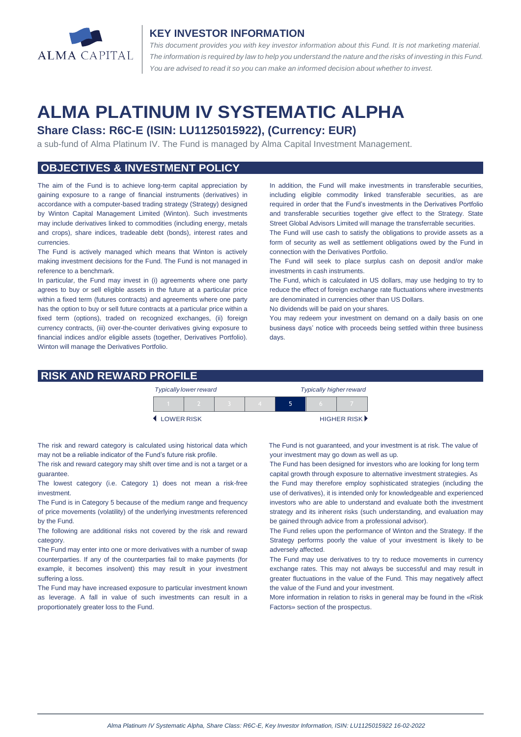

#### **KEY INVESTOR INFORMATION**

*This document provides you with key investor information about this Fund. It is not marketing material.*  The information is required by law to help you understand the nature and the risks of investing in this Fund. *You are advised to read it so you can make an informed decision about whether to invest.*

# **ALMA PLATINUM IV SYSTEMATIC ALPHA**

# **Share Class: R6C-E (ISIN: LU1125015922), (Currency: EUR)**

a sub-fund of Alma Platinum IV. The Fund is managed by Alma Capital Investment Management.

## **OBJECTIVES & INVESTMENT POLICY**

The aim of the Fund is to achieve long-term capital appreciation by gaining exposure to a range of financial instruments (derivatives) in accordance with a computer-based trading strategy (Strategy) designed by Winton Capital Management Limited (Winton). Such investments may include derivatives linked to commodities (including energy, metals and crops), share indices, tradeable debt (bonds), interest rates and currencies.

The Fund is actively managed which means that Winton is actively making investment decisions for the Fund. The Fund is not managed in reference to a benchmark.

In particular, the Fund may invest in (i) agreements where one party agrees to buy or sell eligible assets in the future at a particular price within a fixed term (futures contracts) and agreements where one party has the option to buy or sell future contracts at a particular price within a fixed term (options), traded on recognized exchanges, (ii) foreign currency contracts, (iii) over-the-counter derivatives giving exposure to financial indices and/or eligible assets (together, Derivatives Portfolio). Winton will manage the Derivatives Portfolio.

In addition, the Fund will make investments in transferable securities, including eligible commodity linked transferable securities, as are required in order that the Fund's investments in the Derivatives Portfolio and transferable securities together give effect to the Strategy. State Street Global Advisors Limited will manage the transferrable securities.

The Fund will use cash to satisfy the obligations to provide assets as a form of security as well as settlement obligations owed by the Fund in connection with the Derivatives Portfolio.

The Fund will seek to place surplus cash on deposit and/or make investments in cash instruments.

The Fund, which is calculated in US dollars, may use hedging to try to reduce the effect of foreign exchange rate fluctuations where investments are denominated in currencies other than US Dollars.

No dividends will be paid on your shares.

You may redeem your investment on demand on a daily basis on one business days' notice with proceeds being settled within three business days.

#### **RISK AND REWARD PROFILE**

|            | <b>Typically lower reward</b> |  | <b>Typically higher reward</b> |  |  |             |
|------------|-------------------------------|--|--------------------------------|--|--|-------------|
|            |                               |  |                                |  |  |             |
| LOWER RISK |                               |  |                                |  |  | HIGHER RISK |

The risk and reward category is calculated using historical data which may not be a reliable indicator of the Fund's future risk profile.

The risk and reward category may shift over time and is not a target or a guarantee.

The lowest category (i.e. Category 1) does not mean a risk-free investment.

The Fund is in Category 5 because of the medium range and frequency of price movements (volatility) of the underlying investments referenced by the Fund.

The following are additional risks not covered by the risk and reward category.

The Fund may enter into one or more derivatives with a number of swap counterparties. If any of the counterparties fail to make payments (for example, it becomes insolvent) this may result in your investment suffering a loss.

The Fund may have increased exposure to particular investment known as leverage. A fall in value of such investments can result in a proportionately greater loss to the Fund.

The Fund is not guaranteed, and your investment is at risk. The value of your investment may go down as well as up.

The Fund has been designed for investors who are looking for long term capital growth through exposure to alternative investment strategies. As the Fund may therefore employ sophisticated strategies (including the use of derivatives), it is intended only for knowledgeable and experienced investors who are able to understand and evaluate both the investment strategy and its inherent risks (such understanding, and evaluation may be gained through advice from a professional advisor).

The Fund relies upon the performance of Winton and the Strategy. If the Strategy performs poorly the value of your investment is likely to be adversely affected.

The Fund may use derivatives to try to reduce movements in currency exchange rates. This may not always be successful and may result in greater fluctuations in the value of the Fund. This may negatively affect the value of the Fund and your investment.

More information in relation to risks in general may be found in the «Risk Factors» section of the prospectus.